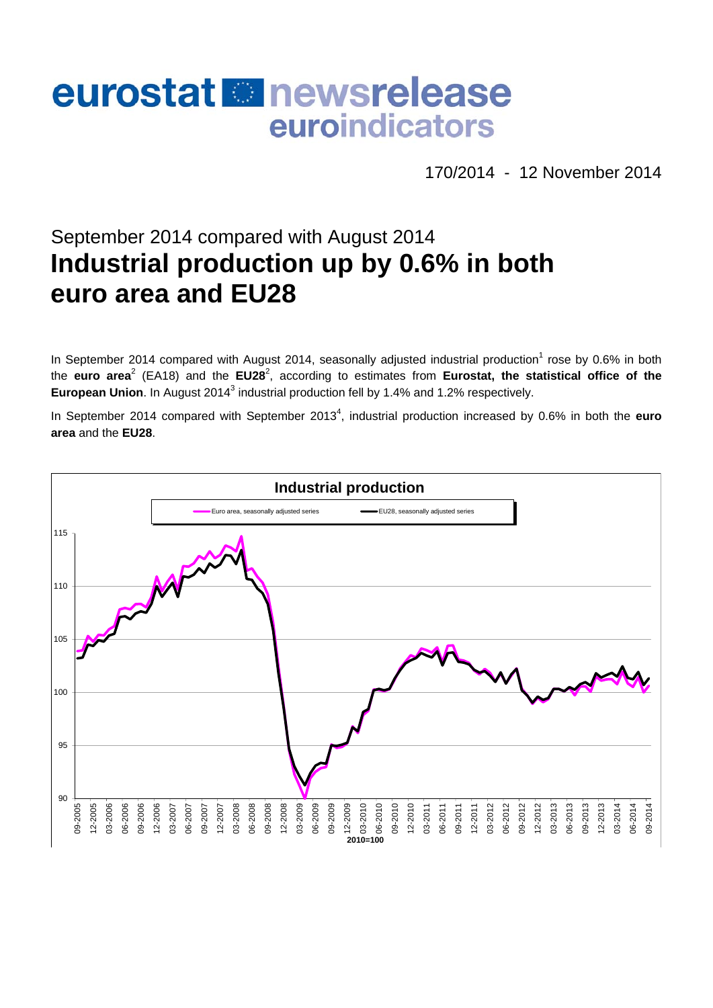# eurostat **B**newsrelease euroindicators

170/2014 - 12 November 2014

# September 2014 compared with August 2014 **Industrial production up by 0.6% in both euro area and EU28**

In September 2014 compared with August 2014, seasonally adjusted industrial production<sup>1</sup> rose by 0.6% in both the euro area<sup>2</sup> (EA18) and the EU28<sup>2</sup>, according to estimates from Eurostat, the statistical office of the European Union. In August 2014<sup>3</sup> industrial production fell by 1.4% and 1.2% respectively.

In September 2014 compared with September 2013<sup>4</sup>, industrial production increased by 0.6% in both the **euro area** and the **EU28**.

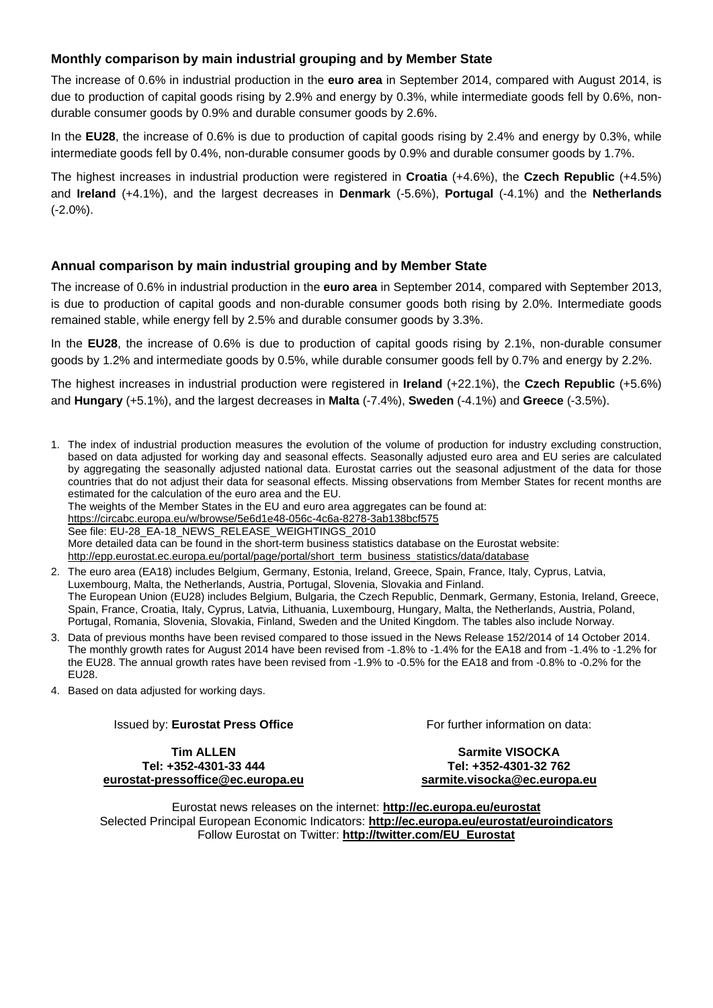# **Monthly comparison by main industrial grouping and by Member State**

The increase of 0.6% in industrial production in the **euro area** in September 2014, compared with August 2014, is due to production of capital goods rising by 2.9% and energy by 0.3%, while intermediate goods fell by 0.6%, nondurable consumer goods by 0.9% and durable consumer goods by 2.6%.

In the **EU28**, the increase of 0.6% is due to production of capital goods rising by 2.4% and energy by 0.3%, while intermediate goods fell by 0.4%, non-durable consumer goods by 0.9% and durable consumer goods by 1.7%.

The highest increases in industrial production were registered in **Croatia** (+4.6%), the **Czech Republic** (+4.5%) and **Ireland** (+4.1%), and the largest decreases in **Denmark** (-5.6%), **Portugal** (-4.1%) and the **Netherlands** (-2.0%).

# **Annual comparison by main industrial grouping and by Member State**

The increase of 0.6% in industrial production in the **euro area** in September 2014, compared with September 2013, is due to production of capital goods and non-durable consumer goods both rising by 2.0%. Intermediate goods remained stable, while energy fell by 2.5% and durable consumer goods by 3.3%.

In the **EU28**, the increase of 0.6% is due to production of capital goods rising by 2.1%, non-durable consumer goods by 1.2% and intermediate goods by 0.5%, while durable consumer goods fell by 0.7% and energy by 2.2%.

The highest increases in industrial production were registered in **Ireland** (+22.1%), the **Czech Republic** (+5.6%) and **Hungary** (+5.1%), and the largest decreases in **Malta** (-7.4%), **Sweden** (-4.1%) and **Greece** (-3.5%).

1. The index of industrial production measures the evolution of the volume of production for industry excluding construction, based on data adjusted for working day and seasonal effects. Seasonally adjusted euro area and EU series are calculated by aggregating the seasonally adjusted national data. Eurostat carries out the seasonal adjustment of the data for those countries that do not adjust their data for seasonal effects. Missing observations from Member States for recent months are estimated for the calculation of the euro area and the EU.

The weights of the Member States in the EU and euro area aggregates can be found at:

<https://circabc.europa.eu/w/browse/5e6d1e48-056c-4c6a-8278-3ab138bcf575>

See file: EU-28\_EA-18\_NEWS\_RELEASE\_WEIGHTINGS\_2010

More detailed data can be found in the short-term business statistics database on the Eurostat website:

[http://epp.eurostat.ec.europa.eu/portal/page/portal/short\\_term\\_business\\_statistics/data/database](http://epp.eurostat.ec.europa.eu/portal/page/portal/short_term_business_statistics/data/database) 

- 2. The euro area (EA18) includes Belgium, Germany, Estonia, Ireland, Greece, Spain, France, Italy, Cyprus, Latvia, Luxembourg, Malta, the Netherlands, Austria, Portugal, Slovenia, Slovakia and Finland. The European Union (EU28) includes Belgium, Bulgaria, the Czech Republic, Denmark, Germany, Estonia, Ireland, Greece, Spain, France, Croatia, Italy, Cyprus, Latvia, Lithuania, Luxembourg, Hungary, Malta, the Netherlands, Austria, Poland, Portugal, Romania, Slovenia, Slovakia, Finland, Sweden and the United Kingdom. The tables also include Norway.
- 3. Data of previous months have been revised compared to those issued in the News Release 152/2014 of 14 October 2014. The monthly growth rates for August 2014 have been revised from -1.8% to -1.4% for the EA18 and from -1.4% to -1.2% for the EU28. The annual growth rates have been revised from -1.9% to -0.5% for the EA18 and from -0.8% to -0.2% for the EU28.

4. Based on data adjusted for working days.

#### Issued by: **Eurostat Press Office**

For further information on data:

**Tim ALLEN Tel: +352-4301-33 444 [eurostat-pressoffice@ec.europa.eu](mailto:eurostat-pressoffice@ec.europa.eu)** 

**Sarmite VISOCKA Tel: +352-4301-32 762 [sarmite.visocka@ec.europa.eu](mailto:sarmite.visocka@ec.europa.eu)** 

Eurostat news releases on the internet: **<http://ec.europa.eu/eurostat>** Selected Principal European Economic Indicators: **<http://ec.europa.eu/eurostat/euroindicators>** Follow Eurostat on Twitter: **[http://twitter.com/EU\\_Eurostat](http://twitter.com/EU_Eurostat)**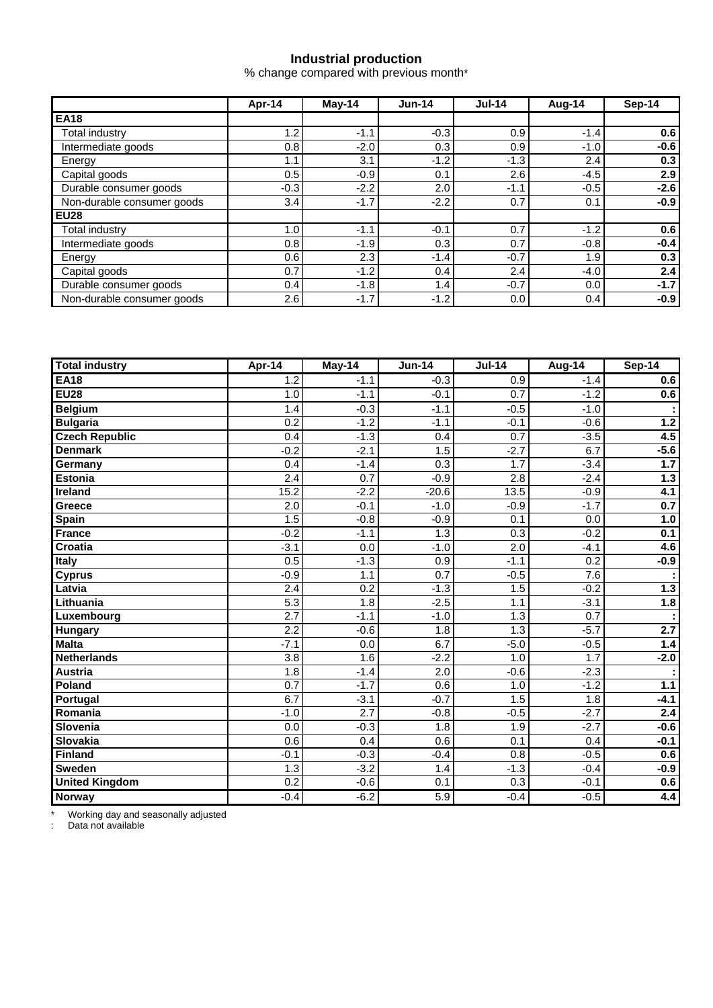# **Industrial production**

% change compared with previous month\*

|                            | Apr-14 | $May-14$ | $Jun-14$ | <b>Jul-14</b> | Aug-14 | Sep-14 |  |
|----------------------------|--------|----------|----------|---------------|--------|--------|--|
| <b>EA18</b>                |        |          |          |               |        |        |  |
| Total industrv             | 1.2    | $-1.1$   | $-0.3$   | 0.9           | $-1.4$ | 0.6    |  |
| Intermediate goods         | 0.8    | $-2.0$   | 0.3      | 0.9           | $-1.0$ | $-0.6$ |  |
| Energy                     | 1.1    | 3.1      | $-1.2$   | $-1.3$        | 2.4    | 0.3    |  |
| Capital goods              | 0.5    | $-0.9$   | 0.1      | 2.6           | $-4.5$ | 2.9    |  |
| Durable consumer goods     | $-0.3$ | $-2.2$   | 2.0      | $-1.1$        | $-0.5$ | $-2.6$ |  |
| Non-durable consumer goods | 3.4    | $-1.7$   | $-2.2$   | 0.7           | 0.1    | $-0.9$ |  |
| <b>EU28</b>                |        |          |          |               |        |        |  |
| Total industry             | 1.0    | $-1.1$   | $-0.1$   | 0.7           | $-1.2$ | 0.6    |  |
| Intermediate goods         | 0.8    | $-1.9$   | 0.3      | 0.7           | $-0.8$ | $-0.4$ |  |
| Energy                     | 0.6    | 2.3      | $-1.4$   | $-0.7$        | 1.9    | 0.3    |  |
| Capital goods              | 0.7    | $-1.2$   | 0.4      | 2.4           | $-4.0$ | 2.4    |  |
| Durable consumer goods     | 0.4    | $-1.8$   | 1.4      | $-0.7$        | 0.0    | $-1.7$ |  |
| Non-durable consumer goods | 2.6    | $-1.7$   | $-1.2$   | 0.0           | 0.4    | $-0.9$ |  |

| <b>Total industry</b> | Apr-14           | <b>May-14</b>    | $Jun-14$         | $Jul-14$         | <b>Aug-14</b> | $Sep-14$         |
|-----------------------|------------------|------------------|------------------|------------------|---------------|------------------|
| <b>EA18</b>           | 1.2              | $-1.1$           | $-0.3$           | $\overline{0.9}$ | $-1.4$        | 0.6              |
| <b>EU28</b>           | 1.0              | $-1.1$           | $-0.1$           | 0.7              | $-1.2$        | 0.6              |
| <b>Belgium</b>        | 1.4              | $-0.3$           | $-1.1$           | $-0.5$           | $-1.0$        |                  |
| <b>Bulgaria</b>       | 0.2              | $-1.2$           | $-1.1$           | $-0.1$           | $-0.6$        | $1.2$            |
| <b>Czech Republic</b> | 0.4              | $-1.3$           | 0.4              | 0.7              | $-3.5$        | 4.5              |
| <b>Denmark</b>        | $-0.2$           | $-2.1$           | 1.5              | $-2.7$           | 6.7           | $-5.6$           |
| Germany               | 0.4              | $-1.4$           | 0.3              | 1.7              | $-3.4$        | 1.7              |
| <b>Estonia</b>        | 2.4              | 0.7              | $-0.9$           | 2.8              | $-2.4$        | $1.3$            |
| <b>Ireland</b>        | 15.2             | $-2.2$           | $-20.6$          | 13.5             | $-0.9$        | 4.1              |
| Greece                | 2.0              | $-0.1$           | $-1.0$           | $-0.9$           | $-1.7$        | 0.7              |
| Spain                 | 1.5              | $-0.8$           | $-0.9$           | 0.1              | 0.0           | 1.0              |
| <b>France</b>         | $-0.2$           | $-1.1$           | 1.3              | 0.3              | $-0.2$        | 0.1              |
| <b>Croatia</b>        | $-3.1$           | 0.0              | $-1.0$           | 2.0              | $-4.1$        | 4.6              |
| Italy                 | 0.5              | $-1.3$           | 0.9              | $-1.1$           | 0.2           | $-0.9$           |
| <b>Cyprus</b>         | $-0.9$           | 1.1              | 0.7              | $-0.5$           | 7.6           |                  |
| Latvia                | 2.4              | 0.2              | $-1.3$           | 1.5              | $-0.2$        | 1.3              |
| Lithuania             | $\overline{5.3}$ | 1.8              | $-2.5$           | 1.1              | $-3.1$        | 1.8              |
| Luxembourg            | 2.7              | $-1.1$           | $-1.0$           | 1.3              | 0.7           |                  |
| <b>Hungary</b>        | 2.2              | $-0.6$           | 1.8              | 1.3              | $-5.7$        | 2.7              |
| <b>Malta</b>          | $-7.1$           | 0.0              | 6.7              | $-5.0$           | $-0.5$        | 1.4              |
| <b>Netherlands</b>    | 3.8              | 1.6              | $-2.2$           | 1.0              | 1.7           | $-2.0$           |
| <b>Austria</b>        | 1.8              | $-1.4$           | 2.0              | $-0.6$           | $-2.3$        |                  |
| Poland                | 0.7              | $-1.7$           | 0.6              | 1.0              | $-1.2$        | $1.1$            |
| Portugal              | 6.7              | $-3.1$           | $-0.7$           | 1.5              | 1.8           | $-4.1$           |
| Romania               | $-1.0$           | $\overline{2.7}$ | $-0.8$           | $-0.5$           | $-2.7$        | $\overline{2.4}$ |
| Slovenia              | $\overline{0.0}$ | $-0.3$           | 1.8              | 1.9              | $-2.7$        | $-0.6$           |
| <b>Slovakia</b>       | 0.6              | 0.4              | $\overline{0.6}$ | $\overline{0.1}$ | 0.4           | $-0.1$           |
| <b>Finland</b>        | $-0.1$           | $-0.3$           | $-0.4$           | 0.8              | $-0.5$        | 0.6              |
| <b>Sweden</b>         | 1.3              | $-3.2$           | 1.4              | $-1.3$           | $-0.4$        | $-0.9$           |
| <b>United Kingdom</b> | $\overline{0.2}$ | $-0.6$           | 0.1              | 0.3              | $-0.1$        | 0.6              |
| <b>Norway</b>         | $-0.4$           | $-6.2$           | 5.9              | $-0.4$           | $-0.5$        | 4.4              |

\* Working day and seasonally adjusted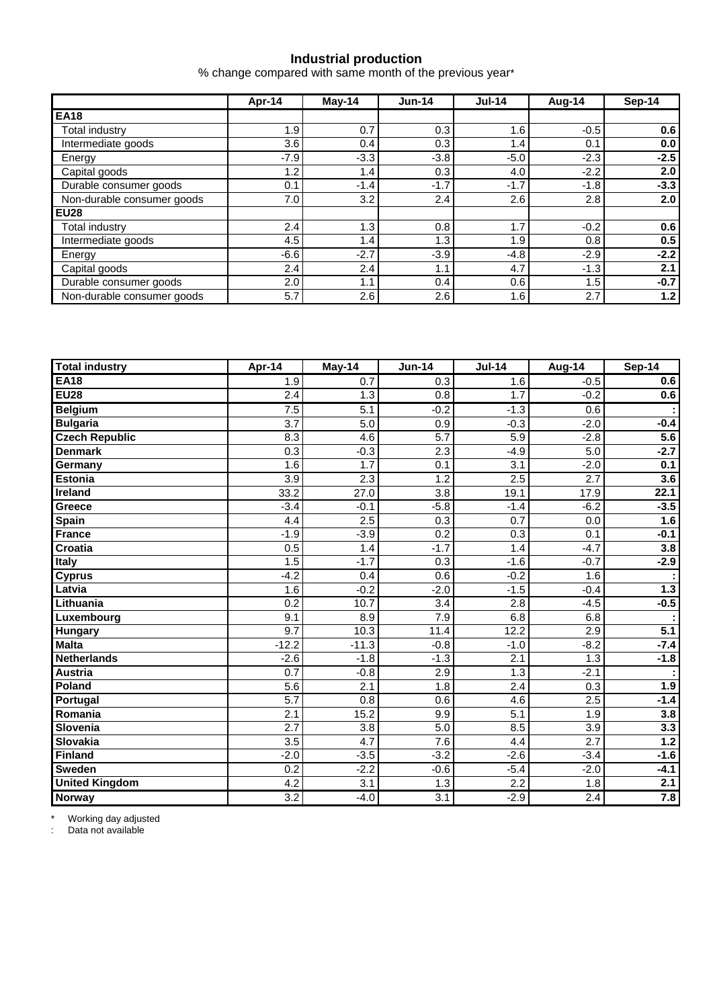### **Industrial production**

% change compared with same month of the previous year\*

|                            | Apr-14 | $May-14$ | $Jun-14$ | $Jul-14$ | Aug-14 | Sep-14 |  |
|----------------------------|--------|----------|----------|----------|--------|--------|--|
| <b>EA18</b>                |        |          |          |          |        |        |  |
| Total industry             | 1.9    | 0.7      | 0.3      | 1.6      | $-0.5$ | 0.6    |  |
| Intermediate goods         | 3.6    | 0.4      | 0.3      | 1.4      | 0.1    | 0.0    |  |
| Energy                     | $-7.9$ | $-3.3$   | $-3.8$   | $-5.0$   | $-2.3$ | $-2.5$ |  |
| Capital goods              | 1.2    | 1.4      | 0.3      | 4.0      | $-2.2$ | 2.0    |  |
| Durable consumer goods     | 0.1    | $-1.4$   | $-1.7$   | $-1.7$   | $-1.8$ | $-3.3$ |  |
| Non-durable consumer goods | 7.0    | 3.2      | $2.4\,$  | 2.6      | 2.8    | 2.0    |  |
| <b>EU28</b>                |        |          |          |          |        |        |  |
| <b>Total industry</b>      | 2.4    | 1.3      | 0.8      | 1.7      | $-0.2$ | 0.6    |  |
| Intermediate goods         | 4.5    | 1.4      | 1.3      | 1.9      | 0.8    | 0.5    |  |
| Energy                     | $-6.6$ | $-2.7$   | $-3.9$   | $-4.8$   | $-2.9$ | $-2.2$ |  |
| Capital goods              | 2.4    | 2.4      | 1.1      | 4.7      | $-1.3$ | 2.1    |  |
| Durable consumer goods     | 2.0    | 1.1      | 0.4      | 0.6      | 1.5    | $-0.7$ |  |
| Non-durable consumer goods | 5.7    | 2.6      | 2.6      | 1.6      | 2.7    | 1.2    |  |

| <b>Total industry</b> | Apr-14           | May-14           | <b>Jun-14</b>    | <b>Jul-14</b>    | Aug-14           | Sep-14           |
|-----------------------|------------------|------------------|------------------|------------------|------------------|------------------|
| <b>EA18</b>           | 1.9              | 0.7              | $\overline{0.3}$ | 1.6              | $-0.5$           | 0.6              |
| <b>EU28</b>           | 2.4              | 1.3              | 0.8              | 1.7              | $-0.2$           | 0.6              |
| <b>Belgium</b>        | 7.5              | $\overline{5.1}$ | $-0.2$           | $-1.3$           | 0.6              |                  |
| <b>Bulgaria</b>       | $\overline{3.7}$ | 5.0              | $\overline{0.9}$ | $-0.3$           | $-2.0$           | $-0.4$           |
| <b>Czech Republic</b> | 8.3              | 4.6              | 5.7              | 5.9              | $-2.8$           | $\overline{5.6}$ |
| <b>Denmark</b>        | 0.3              | $-0.3$           | 2.3              | $-4.9$           | 5.0              | $-2.7$           |
| Germany               | 1.6              | 1.7              | 0.1              | 3.1              | $-2.0$           | 0.1              |
| <b>Estonia</b>        | $\overline{3.9}$ | 2.3              | $\overline{1.2}$ | 2.5              | $\overline{2.7}$ | 3.6              |
| <b>Ireland</b>        | 33.2             | 27.0             | 3.8              | 19.1             | 17.9             | 22.1             |
| Greece                | $-3.4$           | $-0.1$           | $-5.8$           | $-1.4$           | $-6.2$           | $-3.5$           |
| Spain                 | 4.4              | 2.5              | 0.3              | 0.7              | 0.0              | 1.6              |
| <b>France</b>         | $-1.9$           | $-3.9$           | 0.2              | 0.3              | 0.1              | $-0.1$           |
| Croatia               | 0.5              | 1.4              | $-1.7$           | 1.4              | $-4.7$           | 3.8              |
| Italy                 | 1.5              | $-1.7$           | 0.3              | $-1.6$           | $-0.7$           | $-2.9$           |
| <b>Cyprus</b>         | $-4.2$           | 0.4              | 0.6              | $-0.2$           | 1.6              |                  |
| Latvia                | 1.6              | $-0.2$           | $-2.0$           | $-1.5$           | $-0.4$           | $1.3$            |
| Lithuania             | 0.2              | 10.7             | 3.4              | 2.8              | $-4.5$           | $-0.5$           |
| Luxembourg            | 9.1              | 8.9              | $\overline{7.9}$ | 6.8              | 6.8              |                  |
| Hungary               | 9.7              | 10.3             | 11.4             | 12.2             | 2.9              | 5.1              |
| <b>Malta</b>          | $-12.2$          | $-11.3$          | $-0.8$           | $-1.0$           | $-8.2$           | $-7.4$           |
| <b>Netherlands</b>    | $-2.6$           | $-1.8$           | $-1.3$           | 2.1              | 1.3              | $-1.8$           |
| <b>Austria</b>        | 0.7              | $-0.8$           | 2.9              | 1.3              | $-2.1$           |                  |
| Poland                | 5.6              | 2.1              | 1.8              | 2.4              | 0.3              | 1.9              |
| Portugal              | 5.7              | 0.8              | 0.6              | 4.6              | 2.5              | $-1.4$           |
| Romania               | 2.1              | 15.2             | 9.9              | 5.1              | 1.9              | 3.8              |
| Slovenia              | 2.7              | 3.8              | 5.0              | 8.5              | 3.9              | 3.3              |
| <b>Slovakia</b>       | 3.5              | 4.7              | 7.6              | 4.4              | 2.7              | $1.2$            |
| <b>Finland</b>        | $-2.0$           | $-3.5$           | $-3.2$           | $-2.6$           | $-3.4$           | $-1.6$           |
| <b>Sweden</b>         | 0.2              | $-2.2$           | $-0.6$           | $-5.4$           | $-2.0$           | $-4.1$           |
| <b>United Kingdom</b> | $\overline{4.2}$ | $\overline{3.1}$ | $\overline{1.3}$ | $\overline{2.2}$ | 1.8              | 2.1              |
| Norway                | 3.2              | $-4.0$           | 3.1              | $-2.9$           | $\overline{2.4}$ | 7.8              |

\* Working day adjusted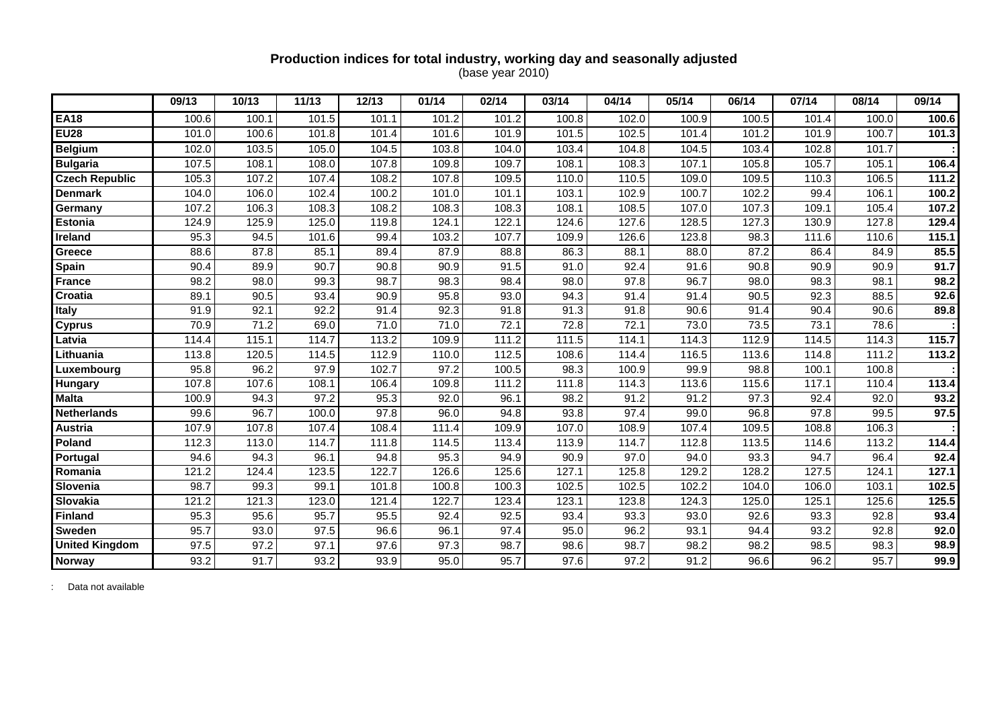#### **Production indices for total industry, working day and seasonally adjusted**  (base year 2010)

|                       | 09/13 | 10/13 | 11/13 | 12/13 | 01/14 | 02/14 | 03/14 | 04/14 | 05/14             | 06/14 | 07/14 | 08/14 | 09/14 |
|-----------------------|-------|-------|-------|-------|-------|-------|-------|-------|-------------------|-------|-------|-------|-------|
| <b>EA18</b>           | 100.6 | 100.1 | 101.5 | 101.1 | 101.2 | 101.2 | 100.8 | 102.0 | 100.9             | 100.5 | 101.4 | 100.0 | 100.6 |
| <b>EU28</b>           | 101.0 | 100.6 | 101.8 | 101.4 | 101.6 | 101.9 | 101.5 | 102.5 | 101.4             | 101.2 | 101.9 | 100.7 | 101.3 |
| Belgium               | 102.0 | 103.5 | 105.0 | 104.5 | 103.8 | 104.0 | 103.4 | 104.8 | 104.5             | 103.4 | 102.8 | 101.7 |       |
| <b>Bulgaria</b>       | 107.5 | 108.1 | 108.0 | 107.8 | 109.8 | 109.7 | 108.1 | 108.3 | 107.1             | 105.8 | 105.7 | 105.1 | 106.4 |
| <b>Czech Republic</b> | 105.3 | 107.2 | 107.4 | 108.2 | 107.8 | 109.5 | 110.0 | 110.5 | 109.0             | 109.5 | 110.3 | 106.5 | 111.2 |
| <b>Denmark</b>        | 104.0 | 106.0 | 102.4 | 100.2 | 101.0 | 101.1 | 103.1 | 102.9 | 100.7             | 102.2 | 99.4  | 106.1 | 100.2 |
| Germany               | 107.2 | 106.3 | 108.3 | 108.2 | 108.3 | 108.3 | 108.1 | 108.5 | 107.0             | 107.3 | 109.1 | 105.4 | 107.2 |
| <b>Estonia</b>        | 124.9 | 125.9 | 125.0 | 119.8 | 124.1 | 122.1 | 124.6 | 127.6 | 128.5             | 127.3 | 130.9 | 127.8 | 129.4 |
| Ireland               | 95.3  | 94.5  | 101.6 | 99.4  | 103.2 | 107.7 | 109.9 | 126.6 | 123.8             | 98.3  | 111.6 | 110.6 | 115.1 |
| Greece                | 88.6  | 87.8  | 85.1  | 89.4  | 87.9  | 88.8  | 86.3  | 88.1  | 88.0              | 87.2  | 86.4  | 84.9  | 85.5  |
| Spain                 | 90.4  | 89.9  | 90.7  | 90.8  | 90.9  | 91.5  | 91.0  | 92.4  | 91.6              | 90.8  | 90.9  | 90.9  | 91.7  |
| <b>France</b>         | 98.2  | 98.0  | 99.3  | 98.7  | 98.3  | 98.4  | 98.0  | 97.8  | 96.7              | 98.0  | 98.3  | 98.1  | 98.2  |
| Croatia               | 89.1  | 90.5  | 93.4  | 90.9  | 95.8  | 93.0  | 94.3  | 91.4  | 91.4              | 90.5  | 92.3  | 88.5  | 92.6  |
| <b>Italy</b>          | 91.9  | 92.1  | 92.2  | 91.4  | 92.3  | 91.8  | 91.3  | 91.8  | 90.6              | 91.4  | 90.4  | 90.6  | 89.8  |
| <b>Cyprus</b>         | 70.9  | 71.2  | 69.0  | 71.0  | 71.0  | 72.1  | 72.8  | 72.1  | 73.0              | 73.5  | 73.1  | 78.6  |       |
| Latvia                | 114.4 | 115.1 | 114.7 | 113.2 | 109.9 | 111.2 | 111.5 | 114.1 | 114.3             | 112.9 | 114.5 | 114.3 | 115.7 |
| Lithuania             | 113.8 | 120.5 | 114.5 | 112.9 | 110.0 | 112.5 | 108.6 | 114.4 | 116.5             | 113.6 | 114.8 | 111.2 | 113.2 |
| Luxembourg            | 95.8  | 96.2  | 97.9  | 102.7 | 97.2  | 100.5 | 98.3  | 100.9 | 99.9              | 98.8  | 100.1 | 100.8 |       |
| Hungary               | 107.8 | 107.6 | 108.1 | 106.4 | 109.8 | 111.2 | 111.8 | 114.3 | 113.6             | 115.6 | 117.1 | 110.4 | 113.4 |
| <b>Malta</b>          | 100.9 | 94.3  | 97.2  | 95.3  | 92.0  | 96.1  | 98.2  | 91.2  | 91.2              | 97.3  | 92.4  | 92.0  | 93.2  |
| <b>Netherlands</b>    | 99.6  | 96.7  | 100.0 | 97.8  | 96.0  | 94.8  | 93.8  | 97.4  | 99.0              | 96.8  | 97.8  | 99.5  | 97.5  |
| Austria               | 107.9 | 107.8 | 107.4 | 108.4 | 111.4 | 109.9 | 107.0 | 108.9 | 107.4             | 109.5 | 108.8 | 106.3 |       |
| Poland                | 112.3 | 113.0 | 114.7 | 111.8 | 114.5 | 113.4 | 113.9 | 114.7 | 112.8             | 113.5 | 114.6 | 113.2 | 114.4 |
| Portugal              | 94.6  | 94.3  | 96.1  | 94.8  | 95.3  | 94.9  | 90.9  | 97.0  | 94.0              | 93.3  | 94.7  | 96.4  | 92.4  |
| Romania               | 121.2 | 124.4 | 123.5 | 122.7 | 126.6 | 125.6 | 127.1 | 125.8 | 129.2             | 128.2 | 127.5 | 124.1 | 127.1 |
| Slovenia              | 98.7  | 99.3  | 99.1  | 101.8 | 100.8 | 100.3 | 102.5 | 102.5 | 102.2             | 104.0 | 106.0 | 103.1 | 102.5 |
| Slovakia              | 121.2 | 121.3 | 123.0 | 121.4 | 122.7 | 123.4 | 123.1 | 123.8 | 124.3             | 125.0 | 125.1 | 125.6 | 125.5 |
| <b>Finland</b>        | 95.3  | 95.6  | 95.7  | 95.5  | 92.4  | 92.5  | 93.4  | 93.3  | 93.0              | 92.6  | 93.3  | 92.8  | 93.4  |
| Sweden                | 95.7  | 93.0  | 97.5  | 96.6  | 96.1  | 97.4  | 95.0  | 96.2  | 93.1              | 94.4  | 93.2  | 92.8  | 92.0  |
| <b>United Kingdom</b> | 97.5  | 97.2  | 97.1  | 97.6  | 97.3  | 98.7  | 98.6  | 98.7  | 98.2              | 98.2  | 98.5  | 98.3  | 98.9  |
| Norway                | 93.2  | 91.7  | 93.2  | 93.9  | 95.0  | 95.7  | 97.6  | 97.2  | $\overline{91.2}$ | 96.6  | 96.2  | 95.7  | 99.9  |